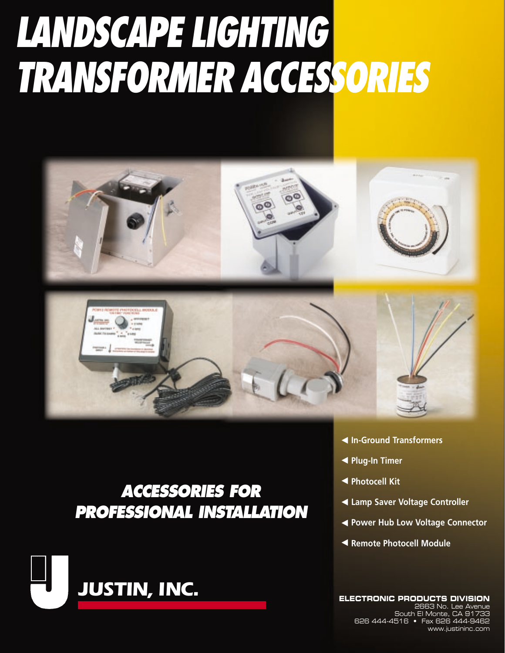# **LANDSCAPE LIGHTING TRANSFORMER ACCESSORIES**



## **ACCESSORIES FOR PROFESSIONAL INSTALLATION**



- **Example 3 Transformers**
- **Example Plug-In Timer**
- **Exercise + Photocell Kit**
- **Examp Saver Voltage Controller**
- **Example 2 Power Hub Low Voltage Connector**
- **Exempte Photocell Module**

ELECTRONIC PRODUCTS DIVISION<br>2663 No. Lee Avenue South El Monte, CA 91733 626 444-4516 • Fax 626 444-9462 www.justininc.com